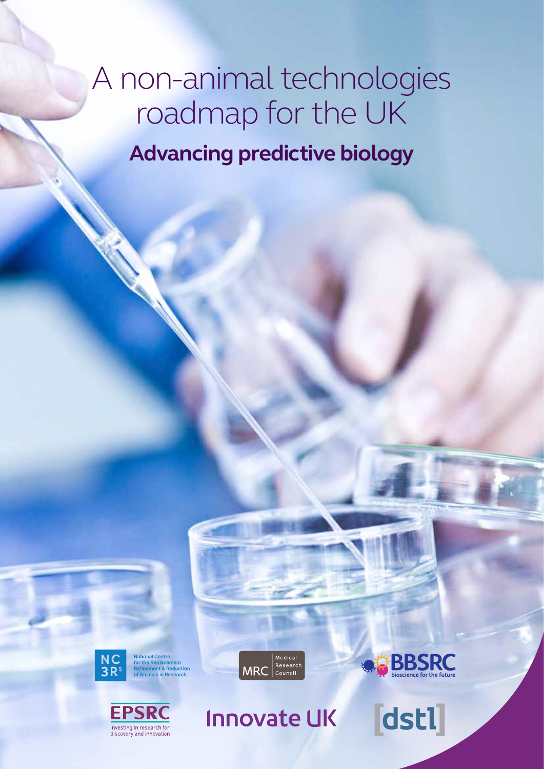# A non-animal technologies roadmap for the UK **Advancing predictive biology**



onal Centre<br>he Replacement<br>nement & Reductior<br>nlmals In Research





Innovate UK



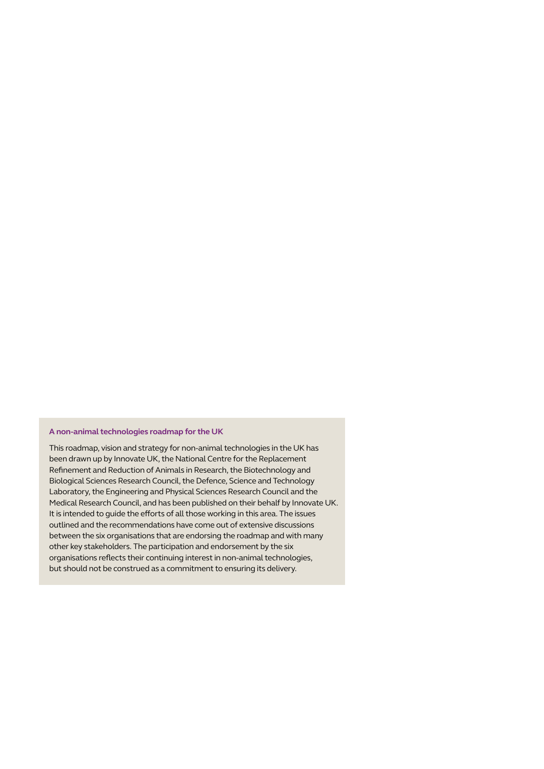### **A non-animal technologies roadmap for the UK**

This roadmap, vision and strategy for non-animal technologies in the UK has been drawn up by Innovate UK, the National Centre for the Replacement Refinement and Reduction of Animals in Research, the Biotechnology and Biological Sciences Research Council, the Defence, Science and Technology Laboratory, the Engineering and Physical Sciences Research Council and the Medical Research Council, and has been published on their behalf by Innovate UK. It is intended to guide the efforts of all those working in this area. The issues outlined and the recommendations have come out of extensive discussions between the six organisations that are endorsing the roadmap and with many other key stakeholders. The participation and endorsement by the six organisations reflects their continuing interest in non-animal technologies, but should not be construed as a commitment to ensuring its delivery.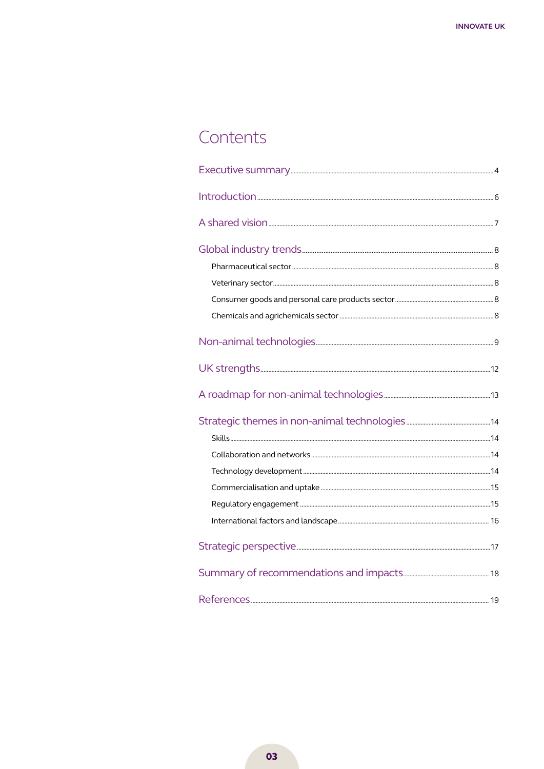### Contents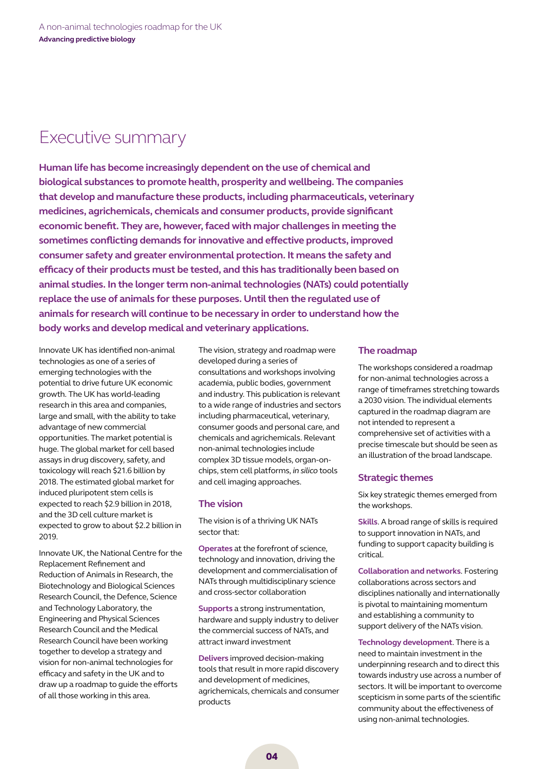### Executive summary

**Human life has become increasingly dependent on the use of chemical and biological substances to promote health, prosperity and wellbeing. The companies that develop and manufacture these products, including pharmaceuticals, veterinary medicines, agrichemicals, chemicals and consumer products, provide significant economic benefit. They are, however, faced with major challenges in meeting the sometimes conflicting demands for innovative and effective products, improved consumer safety and greater environmental protection. It means the safety and efficacy of their products must be tested, and this has traditionally been based on animal studies. In the longer term non-animal technologies (NATs) could potentially replace the use of animals for these purposes. Until then the regulated use of animals for research will continue to be necessary in order to understand how the body works and develop medical and veterinary applications.**

Innovate UK has identified non-animal technologies as one of a series of emerging technologies with the potential to drive future UK economic growth. The UK has world-leading research in this area and companies, large and small, with the ability to take advantage of new commercial opportunities. The market potential is huge. The global market for cell based assays in drug discovery, safety, and toxicology will reach \$21.6 billion by 2018. The estimated global market for induced pluripotent stem cells is expected to reach \$2.9 billion in 2018, and the 3D cell culture market is expected to grow to about \$2.2 billion in 2019.

Innovate UK, the National Centre for the Replacement Refinement and Reduction of Animals in Research, the Biotechnology and Biological Sciences Research Council, the Defence, Science and Technology Laboratory, the Engineering and Physical Sciences Research Council and the Medical Research Council have been working together to develop a strategy and vision for non-animal technologies for efficacy and safety in the UK and to draw up a roadmap to guide the efforts of all those working in this area.

The vision, strategy and roadmap were developed during a series of consultations and workshops involving academia, public bodies, government and industry. This publication is relevant to a wide range of industries and sectors including pharmaceutical, veterinary, consumer goods and personal care, and chemicals and agrichemicals. Relevant non-animal technologies include complex 3D tissue models, organ-onchips, stem cell platforms, *in silico* tools and cell imaging approaches.

### **The vision**

The vision is of a thriving UK NATs sector that:

**Operates** at the forefront of science, technology and innovation, driving the development and commercialisation of NATs through multidisciplinary science and cross-sector collaboration

**Supports** a strong instrumentation, hardware and supply industry to deliver the commercial success of NATs, and attract inward investment

**Delivers** improved decision-making tools that result in more rapid discovery and development of medicines, agrichemicals, chemicals and consumer products

### **The roadmap**

The workshops considered a roadmap for non-animal technologies across a range of timeframes stretching towards a 2030 vision. The individual elements captured in the roadmap diagram are not intended to represent a comprehensive set of activities with a precise timescale but should be seen as an illustration of the broad landscape.

### **Strategic themes**

Six key strategic themes emerged from the workshops.

**Skills**. A broad range of skills is required to support innovation in NATs, and funding to support capacity building is critical.

**Collaboration and networks**. Fostering collaborations across sectors and disciplines nationally and internationally is pivotal to maintaining momentum and establishing a community to support delivery of the NATs vision.

**Technology development**. There is a need to maintain investment in the underpinning research and to direct this towards industry use across a number of sectors. It will be important to overcome scepticism in some parts of the scientific community about the effectiveness of using non-animal technologies.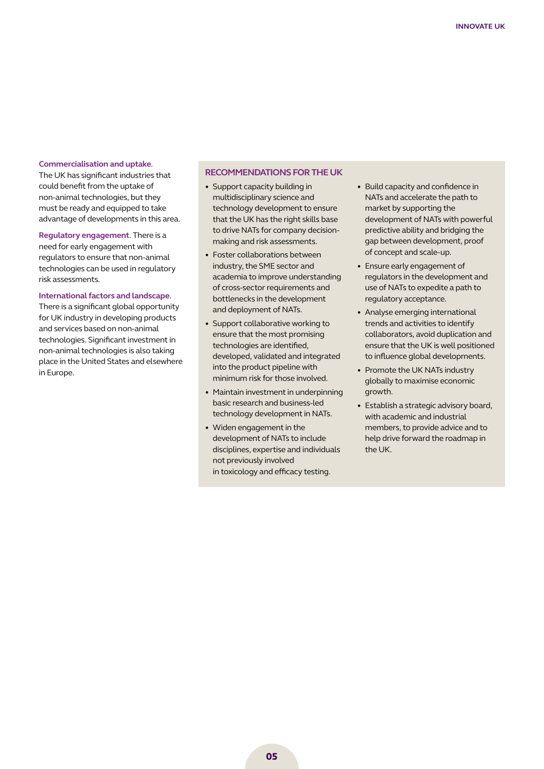#### **Commercialisation and uptake**.

The UK has significant industries that could benefit from the uptake of non-animal technologies, but they must be ready and equipped to take advantage of developments in this area.

**Regulatory engagement**. There is a need for early engagement with regulators to ensure that non-animal technologies can be used in regulatory risk assessments.

#### **International factors and landscape**.

There is a significant global opportunity for UK industry in developing products and services based on non-animal technologies. Significant investment in non-animal technologies is also taking place in the United States and elsewhere in Europe.

### **Recommendations forthe UK**

- Support capacity building in multidisciplinary science and technology development to ensure that the UK has the right skills base to drive NATs for company decisionmaking and risk assessments.
- Foster collaborations between industry, the SME sector and academia to improve understanding of cross-sector requirements and bottlenecks in the development and deployment of NATs.
- Support collaborative working to ensure that the most promising technologies are identified, developed, validated and integrated into the product pipeline with minimum risk for those involved.
- Maintain investment in underpinning basic research and business-led technology development in NATs.
- Widen engagement in the development of NATs to include disciplines, expertise and individuals not previously involved in toxicology and efficacy testing.
- Build capacity and confidence in NATs and accelerate the path to market by supporting the development of NATs with powerful predictive ability and bridging the gap between development, proof of concept and scale-up.
- Ensure early engagement of regulators in the development and use of NATs to expedite a path to regulatory acceptance.
- Analyse emerging international trends and activities to identify collaborators, avoid duplication and ensure that the UK is well positioned to influence global developments.
- Promote the UK NATs industry globally to maximise economic growth.
- Establish a strategic advisory board, with academic and industrial members, to provide advice and to help drive forward the roadmap in the UK.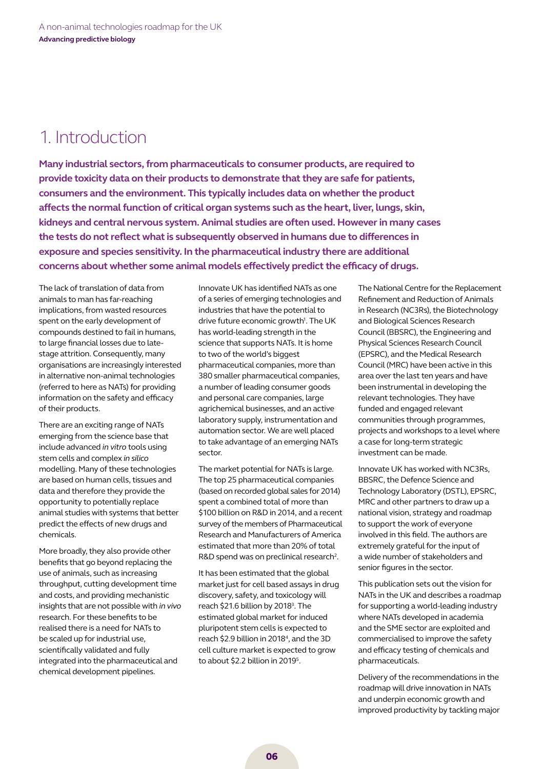### 1. Introduction

**Many industrial sectors, from pharmaceuticals to consumer products, are required to provide toxicity data on their products to demonstrate that they are safe for patients, consumers and the environment. This typically includes data on whether the product affects the normal function of critical organ systems such as the heart, liver, lungs, skin, kidneys and central nervous system. Animal studies are often used. However in many cases the tests do not reflect what is subsequently observed in humans due to differences in exposure and species sensitivity. In the pharmaceutical industry there are additional concerns about whether some animal models effectively predict the efficacy of drugs.** 

The lack of translation of data from animals to man has far-reaching implications, from wasted resources spent on the early development of compounds destined to fail in humans, to large financial losses due to latestage attrition. Consequently, many organisations are increasingly interested in alternative non-animal technologies (referred to here as NATs) for providing information on the safety and efficacy of their products.

There are an exciting range of NATs emerging from the science base that include advanced *in vitro* tools using stem cells and complex *in silico* modelling. Many of these technologies are based on human cells, tissues and data and therefore they provide the opportunity to potentially replace animal studies with systems that better predict the effects of new drugs and chemicals.

More broadly, they also provide other benefits that go beyond replacing the use of animals, such as increasing throughput, cutting development time and costs, and providing mechanistic insights that are not possible with *in vivo* research. For these benefits to be realised there is a need for NATs to be scaled up for industrial use, scientifically validated and fully integrated into the pharmaceutical and chemical development pipelines.

Innovate UK has identified NATs as one of a series of emerging technologies and industries that have the potential to drive future economic growth<sup>1</sup>. The UK has world-leading strength in the science that supports NATs. It is home to two of the world's biggest pharmaceutical companies, more than 380 smaller pharmaceutical companies, a number of leading consumer goods and personal care companies, large agrichemical businesses, and an active laboratory supply, instrumentation and automation sector. We are well placed to take advantage of an emerging NATs sector.

The market potential for NATs is large. The top 25 pharmaceutical companies (based on recorded global sales for 2014) spent a combined total of more than \$100 billion on R&D in 2014, and a recent survey of the members of Pharmaceutical Research and Manufacturers of America estimated that more than 20% of total R&D spend was on preclinical research<sup>2</sup>.

It has been estimated that the global market just for cell based assays in drug discovery, safety, and toxicology will reach \$21.6 billion by 2018<sup>3</sup>. The estimated global market for induced pluripotent stem cells is expected to reach \$2.9 billion in 2018<sup>4</sup>, and the 3D cell culture market is expected to grow to about \$2.2 billion in 2019<sup>5</sup>.

The National Centre for the Replacement Refinement and Reduction of Animals in Research (NC3Rs), the Biotechnology and Biological Sciences Research Council (BBSRC), the Engineering and Physical Sciences Research Council (EPSRC), and the Medical Research Council (MRC) have been active in this area over the last ten years and have been instrumental in developing the relevant technologies. They have funded and engaged relevant communities through programmes, projects and workshops to a level where a case for long-term strategic investment can be made.

Innovate UK has worked with NC3Rs, BBSRC, the Defence Science and Technology Laboratory (DSTL), EPSRC, MRC and other partners to draw up a national vision, strategy and roadmap to support the work of everyone involved in this field. The authors are extremely grateful for the input of a wide number of stakeholders and senior figures in the sector.

This publication sets out the vision for NATs in the UK and describes a roadmap for supporting a world-leading industry where NATs developed in academia and the SME sector are exploited and commercialised to improve the safety and efficacy testing of chemicals and pharmaceuticals.

Delivery of the recommendations in the roadmap will drive innovation in NATs and underpin economic growth and improved productivity by tackling major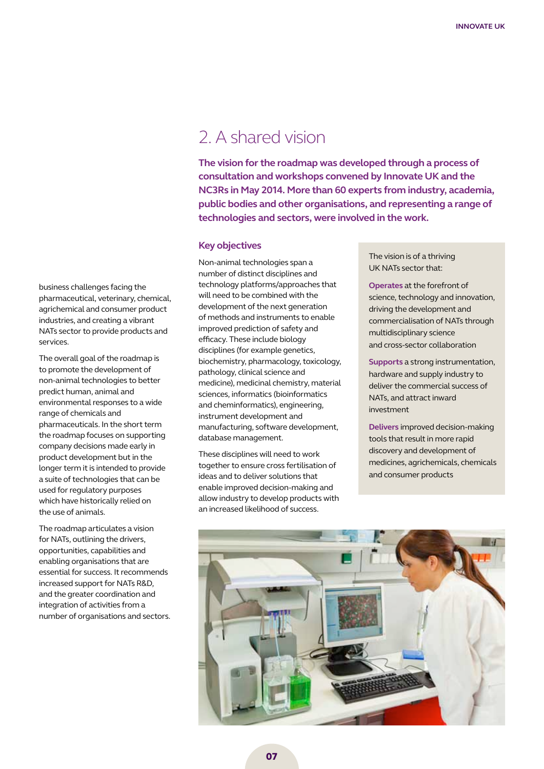### 2. A shared vision

**The vision for the roadmap was developed through a process of consultation and workshops convened by Innovate UK and the NC3Rs in May 2014. More than 60 experts from industry, academia, public bodies and other organisations, and representing a range of technologies and sectors, were involved in the work.** 

### **Key objectives**

Non-animal technologies span a number of distinct disciplines and technology platforms/approaches that will need to be combined with the development of the next generation of methods and instruments to enable improved prediction of safety and efficacy. These include biology disciplines (for example genetics, biochemistry, pharmacology, toxicology, pathology, clinical science and medicine), medicinal chemistry, material sciences, informatics (bioinformatics and cheminformatics), engineering, instrument development and manufacturing, software development, database management.

These disciplines will need to work together to ensure cross fertilisation of ideas and to deliver solutions that enable improved decision-making and allow industry to develop products with an increased likelihood of success.

The vision is of a thriving UK NATs sector that:

**Operates** at the forefront of science, technology and innovation, driving the development and commercialisation of NATs through multidisciplinary science and cross-sector collaboration

**Supports** a strong instrumentation, hardware and supply industry to deliver the commercial success of NATs, and attract inward investment

**Delivers** improved decision-making tools that result in more rapid discovery and development of medicines, agrichemicals, chemicals and consumer products



business challenges facing the pharmaceutical, veterinary, chemical, agrichemical and consumer product industries, and creating a vibrant NATs sector to provide products and services.

The overall goal of the roadmap is to promote the development of non-animal technologies to better predict human, animal and environmental responses to a wide range of chemicals and pharmaceuticals. In the short term the roadmap focuses on supporting company decisions made early in product development but in the longer term it is intended to provide a suite of technologies that can be used for regulatory purposes which have historically relied on the use of animals.

The roadmap articulates a vision for NATs, outlining the drivers, opportunities, capabilities and enabling organisations that are essential for success. It recommends increased support for NATs R&D, and the greater coordination and integration of activities from a number of organisations and sectors.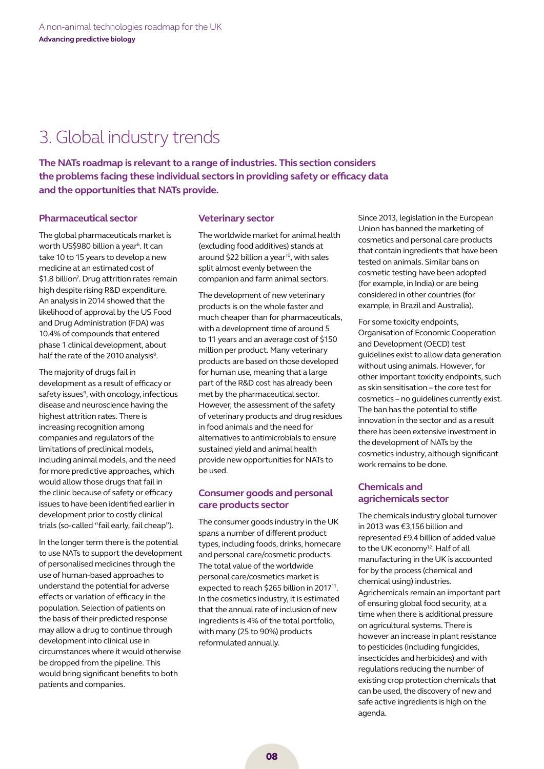# 3. Global industry trends

**The NATs roadmap is relevant to a range of industries. This section considers the problems facing these individual sectors in providing safety or efficacy data and the opportunities that NATs provide.** 

### **Pharmaceutical sector**

The global pharmaceuticals market is worth US\$980 billion a year<sup>6</sup>. It can take 10 to 15 years to develop a new medicine at an estimated cost of \$1.8 billion<sup>7</sup>. Drug attrition rates remain high despite rising R&D expenditure. An analysis in 2014 showed that the likelihood of approval by the US Food and Drug Administration (FDA) was 10.4% of compounds that entered phase 1 clinical development, about half the rate of the 2010 analysis<sup>8</sup>.

The majority of drugs fail in development as a result of efficacy or safety issues<sup>9</sup>, with oncology, infectious disease and neuroscience having the highest attrition rates. There is increasing recognition among companies and regulators of the limitations of preclinical models, including animal models, and the need for more predictive approaches, which would allow those drugs that fail in the clinic because of safety or efficacy issues to have been identified earlier in development prior to costly clinical trials (so-called "fail early, fail cheap").

In the longer term there is the potential to use NATs to support the development of personalised medicines through the use of human-based approaches to understand the potential for adverse effects or variation of efficacy in the population. Selection of patients on the basis of their predicted response may allow a drug to continue through development into clinical use in circumstances where it would otherwise be dropped from the pipeline. This would bring significant benefits to both patients and companies.

### **Veterinary sector**

The worldwide market for animal health (excluding food additives) stands at around \$22 billion a year<sup>10</sup>, with sales split almost evenly between the companion and farm animal sectors.

The development of new veterinary products is on the whole faster and much cheaper than for pharmaceuticals, with a development time of around 5 to 11 years and an average cost of \$150 million per product. Many veterinary products are based on those developed for human use, meaning that a large part of the R&D cost has already been met by the pharmaceutical sector. However, the assessment of the safety of veterinary products and drug residues in food animals and the need for alternatives to antimicrobials to ensure sustained yield and animal health provide new opportunities for NATs to be used.

### **Consumer goods and personal care products sector**

The consumer goods industry in the UK spans a number of different product types, including foods, drinks, homecare and personal care/cosmetic products. The total value of the worldwide personal care/cosmetics market is expected to reach \$265 billion in 2017<sup>11</sup>. In the cosmetics industry, it is estimated that the annual rate of inclusion of new ingredients is 4% of the total portfolio, with many (25 to 90%) products reformulated annually.

Since 2013, legislation in the European Union has banned the marketing of cosmetics and personal care products that contain ingredients that have been tested on animals. Similar bans on cosmetic testing have been adopted (for example, in India) or are being considered in other countries (for example, in Brazil and Australia).

For some toxicity endpoints, Organisation of Economic Cooperation and Development (OECD) test guidelines exist to allow data generation without using animals. However, for other important toxicity endpoints, such as skin sensitisation – the core test for cosmetics – no guidelines currently exist. The ban has the potential to stifle innovation in the sector and as a result there has been extensive investment in the development of NATs by the cosmetics industry, although significant work remains to be done.

### **Chemicals and agrichemicals sector**

The chemicals industry global turnover in 2013 was €3,156 billion and represented £9.4 billion of added value to the UK economy<sup>12</sup>. Half of all manufacturing in the UK is accounted for by the process (chemical and chemical using) industries. Agrichemicals remain an important part of ensuring global food security, at a time when there is additional pressure on agricultural systems. There is however an increase in plant resistance to pesticides (including fungicides, insecticides and herbicides) and with regulations reducing the number of existing crop protection chemicals that can be used, the discovery of new and safe active ingredients is high on the agenda.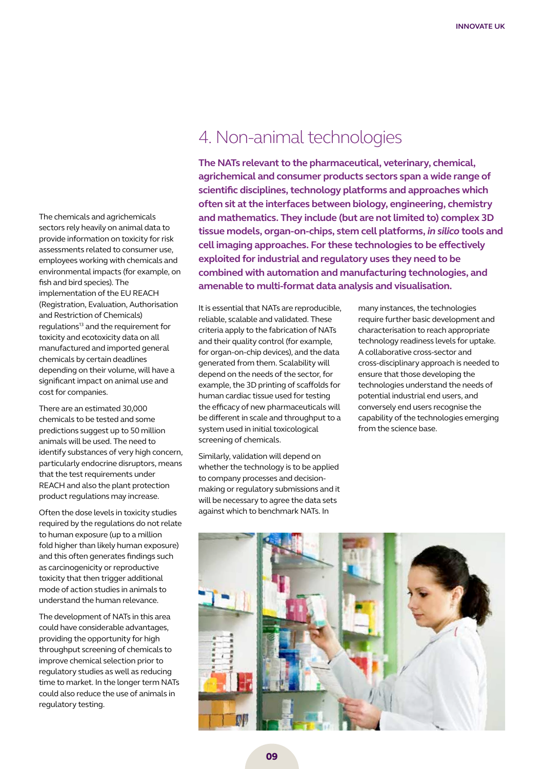The chemicals and agrichemicals sectors rely heavily on animal data to provide information on toxicity for risk assessments related to consumer use, employees working with chemicals and environmental impacts (for example, on fish and bird species). The implementation of the EU REACH (Registration, Evaluation, Authorisation and Restriction of Chemicals) regulations<sup>13</sup> and the requirement for toxicity and ecotoxicity data on all manufactured and imported general chemicals by certain deadlines depending on their volume, will have a significant impact on animal use and cost for companies.

There are an estimated 30,000 chemicals to be tested and some predictions suggest up to 50 million animals will be used. The need to identify substances of very high concern, particularly endocrine disruptors, means that the test requirements under REACH and also the plant protection product regulations may increase.

Often the dose levels in toxicity studies required by the regulations do not relate to human exposure (up to a million fold higher than likely human exposure) and this often generates findings such as carcinogenicity or reproductive toxicity that then trigger additional mode of action studies in animals to understand the human relevance.

The development of NATs in this area could have considerable advantages, providing the opportunity for high throughput screening of chemicals to improve chemical selection prior to regulatory studies as well as reducing time to market. In the longer term NATs could also reduce the use of animals in regulatory testing.

### 4. Non-animal technologies

**The NATs relevant to the pharmaceutical, veterinary, chemical, agrichemical and consumer products sectors span a wide range of scientific disciplines, technology platforms and approaches which often sit at the interfaces between biology, engineering, chemistry and mathematics. They include (but are not limited to) complex 3D tissue models, organ-on-chips, stem cell platforms,** *in silico* **tools and cell imaging approaches. For these technologies to be effectively exploited for industrial and regulatory uses they need to be combined with automation and manufacturing technologies, and amenable to multi-format data analysis and visualisation.** 

It is essential that NATs are reproducible, reliable, scalable and validated. These criteria apply to the fabrication of NATs and their quality control (for example, for organ-on-chip devices), and the data generated from them. Scalability will depend on the needs of the sector, for example, the 3D printing of scaffolds for human cardiac tissue used for testing the efficacy of new pharmaceuticals will be different in scale and throughput to a system used in initial toxicological screening of chemicals.

Similarly, validation will depend on whether the technology is to be applied to company processes and decisionmaking or regulatory submissions and it will be necessary to agree the data sets against which to benchmark NATs. In

many instances, the technologies require further basic development and characterisation to reach appropriate technology readiness levels for uptake. A collaborative cross-sector and cross-disciplinary approach is needed to ensure that those developing the technologies understand the needs of potential industrial end users, and conversely end users recognise the capability of the technologies emerging from the science base.

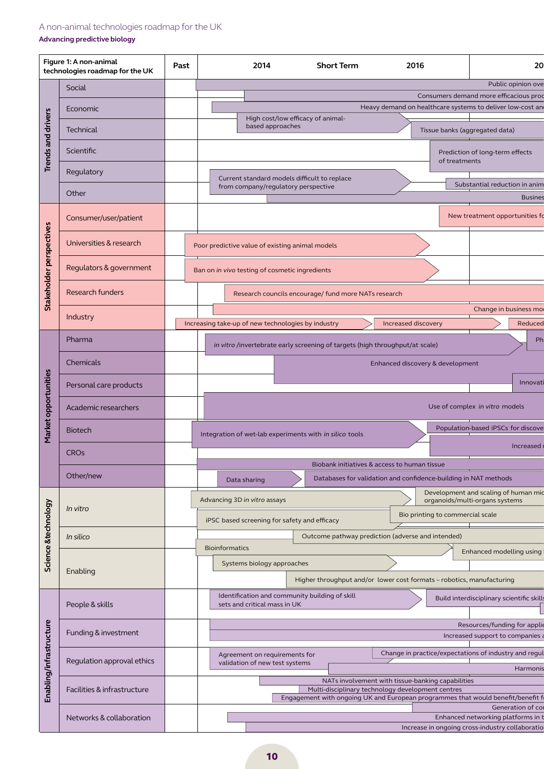### A non-animal technologies roadmap for the UK

### **Advancing predictive biology**

| Figure 1: A non-animal<br>technologies roadmap for the UK |                             | 2014<br><b>Short Term</b><br>2016<br>20<br>Past                                                                                      |  |
|-----------------------------------------------------------|-----------------------------|--------------------------------------------------------------------------------------------------------------------------------------|--|
|                                                           | Social                      | Public opinion ove<br>Consumers demand more efficacious prod                                                                         |  |
|                                                           | Economic                    | Heavy demand on healthcare systems to deliver low-cost an                                                                            |  |
| <b>Trends and drivers</b>                                 | Technical                   | High cost/low efficacy of animal-<br>based approaches<br>Tissue banks (aggregated data)                                              |  |
|                                                           | Scientific                  | Prediction of long-term effects<br>of treatments                                                                                     |  |
|                                                           | Regulatory                  | Current standard models difficult to replace                                                                                         |  |
|                                                           | Other                       | Substantial reduction in anim<br>from company/regulatory perspective<br><b>Busines</b>                                               |  |
| Stakeholder perspectives                                  | Consumer/user/patient       | New treatment opportunities fo                                                                                                       |  |
|                                                           | Universities & research     | Poor predictive value of existing animal models                                                                                      |  |
|                                                           | Regulators & government     | Ban on in vivo testing of cosmetic ingredients                                                                                       |  |
|                                                           | Research funders            | Research councils encourage/ fund more NATs research                                                                                 |  |
|                                                           | Industry                    | Change in business mo                                                                                                                |  |
|                                                           |                             | Increasing take-up of new technologies by industry<br>Increased discovery<br>Reduced                                                 |  |
|                                                           | <b>Pharma</b>               | Ph<br>in vitro /invertebrate early screening of targets (high throughput/at scale)                                                   |  |
|                                                           | Chemicals                   | Enhanced discovery & development                                                                                                     |  |
|                                                           | Personal care products      | Innovati                                                                                                                             |  |
| Market opportunities                                      | Academic researchers        | Use of complex in vitro models                                                                                                       |  |
|                                                           | <b>Biotech</b>              | Population-based iPSCs for discove<br>Integration of wet-lab experiments with in silico tools                                        |  |
|                                                           | <b>CRO<sub>s</sub></b>      | Increased                                                                                                                            |  |
|                                                           | Other/new                   | Biobank initiatives & access to human tissue<br>Databases for validation and confidence-building in NAT methods<br>Data sharing      |  |
|                                                           |                             | Development and scaling of human mid<br>Advancing 3D in vitro assays<br>organoids/multi-organs systems                               |  |
| Science &technology                                       | In vitro                    | Bio printing to commercial scale<br>iPSC based screening for safety and efficacy                                                     |  |
|                                                           | In silico                   | Outcome pathway prediction (adverse and intended)                                                                                    |  |
|                                                           |                             | <b>Bioinformatics</b><br>Enhanced modelling using                                                                                    |  |
|                                                           | Enabling                    | Systems biology approaches<br>Higher throughput and/or lower cost formats - robotics, manufacturing                                  |  |
| Enabling/infrastructure                                   | People & skills             | Identification and community building of skill<br>Build interdisciplinary scientific skills<br>sets and critical mass in UK          |  |
|                                                           |                             | Resources/funding for applic                                                                                                         |  |
|                                                           | Funding & investment        | Increased support to companies a                                                                                                     |  |
|                                                           | Regulation approval ethics  | Change in practice/expectations of industry and regul<br>Agreement on requirements for<br>validation of new test systems             |  |
|                                                           |                             | Harmonis<br>NATs involvement with tissue-banking capabilities                                                                        |  |
|                                                           | Facilities & infrastructure | Multi-disciplinary technology development centres<br>Engagement with ongoing UK and European programmes that would benefit/benefit f |  |
|                                                           | Networks & collaboration    | Generation of cor<br>Enhanced networking platforms in t                                                                              |  |
|                                                           |                             | Increase in ongoing cross-industry collaboratio                                                                                      |  |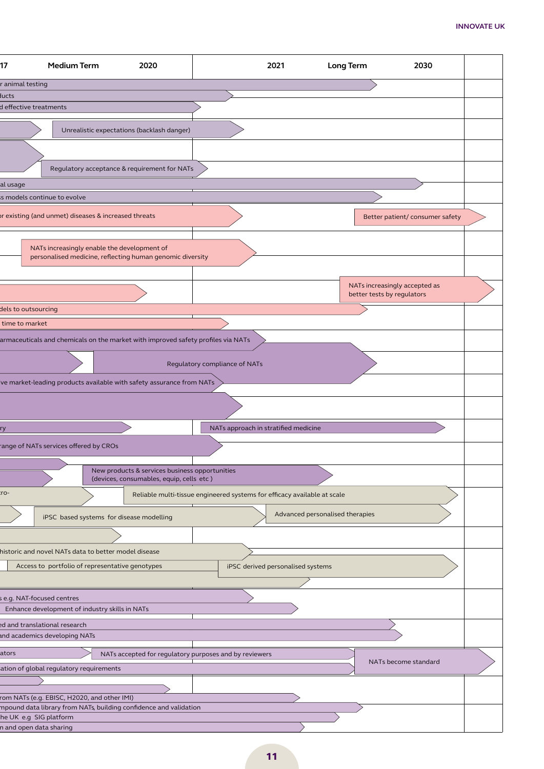| 17                            | <b>Medium Term</b>                                                           | 2020                                                                             | 2021                                 |                                 | <b>Long Term</b>                                            | 2030                            |  |
|-------------------------------|------------------------------------------------------------------------------|----------------------------------------------------------------------------------|--------------------------------------|---------------------------------|-------------------------------------------------------------|---------------------------------|--|
|                               |                                                                              |                                                                                  |                                      |                                 |                                                             |                                 |  |
| r animal testing              |                                                                              |                                                                                  |                                      |                                 |                                                             |                                 |  |
| ducts<br>effective treatments |                                                                              |                                                                                  |                                      |                                 |                                                             |                                 |  |
|                               |                                                                              |                                                                                  |                                      |                                 |                                                             |                                 |  |
|                               |                                                                              | Unrealistic expectations (backlash danger)                                       |                                      |                                 |                                                             |                                 |  |
|                               |                                                                              |                                                                                  |                                      |                                 |                                                             |                                 |  |
|                               |                                                                              | Regulatory acceptance & requirement for NATs                                     |                                      |                                 |                                                             |                                 |  |
| al usage                      |                                                                              |                                                                                  |                                      |                                 |                                                             |                                 |  |
|                               | s models continue to evolve                                                  |                                                                                  |                                      |                                 |                                                             |                                 |  |
|                               | or existing (and unmet) diseases & increased threats                         |                                                                                  |                                      |                                 |                                                             | Better patient/ consumer safety |  |
|                               | NATs increasingly enable the development of                                  | personalised medicine, reflecting human genomic diversity                        |                                      |                                 |                                                             |                                 |  |
|                               |                                                                              |                                                                                  |                                      |                                 | NATs increasingly accepted as<br>better tests by regulators |                                 |  |
| dels to outsourcing           |                                                                              |                                                                                  |                                      |                                 |                                                             |                                 |  |
| time to market                |                                                                              |                                                                                  |                                      |                                 |                                                             |                                 |  |
|                               |                                                                              | armaceuticals and chemicals on the market with improved safety profiles via NATs |                                      |                                 |                                                             |                                 |  |
|                               |                                                                              |                                                                                  |                                      |                                 |                                                             |                                 |  |
|                               |                                                                              |                                                                                  | Regulatory compliance of NATs        |                                 |                                                             |                                 |  |
|                               |                                                                              | ve market-leading products available with safety assurance from NATs             |                                      |                                 |                                                             |                                 |  |
|                               |                                                                              |                                                                                  |                                      |                                 |                                                             |                                 |  |
|                               |                                                                              |                                                                                  | NATs approach in stratified medicine |                                 |                                                             |                                 |  |
|                               |                                                                              |                                                                                  |                                      |                                 |                                                             |                                 |  |
|                               | ange of NATs services offered by CROs                                        |                                                                                  |                                      |                                 |                                                             |                                 |  |
|                               |                                                                              | New products & services business opportunities                                   |                                      |                                 |                                                             |                                 |  |
|                               |                                                                              | (devices, consumables, equip, cells etc)                                         |                                      |                                 |                                                             |                                 |  |
| $\sim$                        |                                                                              | Reliable multi-tissue engineered systems for efficacy available at scale         |                                      |                                 |                                                             |                                 |  |
|                               |                                                                              | iPSC based systems for disease modelling                                         |                                      | Advanced personalised therapies |                                                             |                                 |  |
|                               |                                                                              |                                                                                  |                                      |                                 |                                                             |                                 |  |
|                               | historic and novel NATs data to better model disease                         |                                                                                  |                                      |                                 |                                                             |                                 |  |
|                               | Access to portfolio of representative genotypes                              |                                                                                  | iPSC derived personalised systems    |                                 |                                                             |                                 |  |
|                               |                                                                              |                                                                                  |                                      |                                 |                                                             |                                 |  |
|                               | s e.g. NAT-focused centres<br>Enhance development of industry skills in NATs |                                                                                  |                                      |                                 |                                                             |                                 |  |
|                               |                                                                              |                                                                                  |                                      |                                 |                                                             |                                 |  |
|                               | ed and translational research<br>and academics developing NATs               |                                                                                  |                                      |                                 |                                                             |                                 |  |
| ators                         |                                                                              | NATs accepted for regulatory purposes and by reviewers                           |                                      |                                 |                                                             |                                 |  |
|                               | ation of global regulatory requirements                                      |                                                                                  |                                      |                                 |                                                             | NATs become standard            |  |
|                               |                                                                              |                                                                                  |                                      |                                 |                                                             |                                 |  |
|                               | rom NATs (e.g. EBISC, H2020, and other IMI)                                  |                                                                                  |                                      |                                 |                                                             |                                 |  |
|                               |                                                                              | mpound data library from NATs, building confidence and validation                |                                      |                                 |                                                             |                                 |  |
| he UK e.g SIG platform        |                                                                              |                                                                                  |                                      |                                 |                                                             |                                 |  |
| n and open data sharing       |                                                                              |                                                                                  |                                      |                                 |                                                             |                                 |  |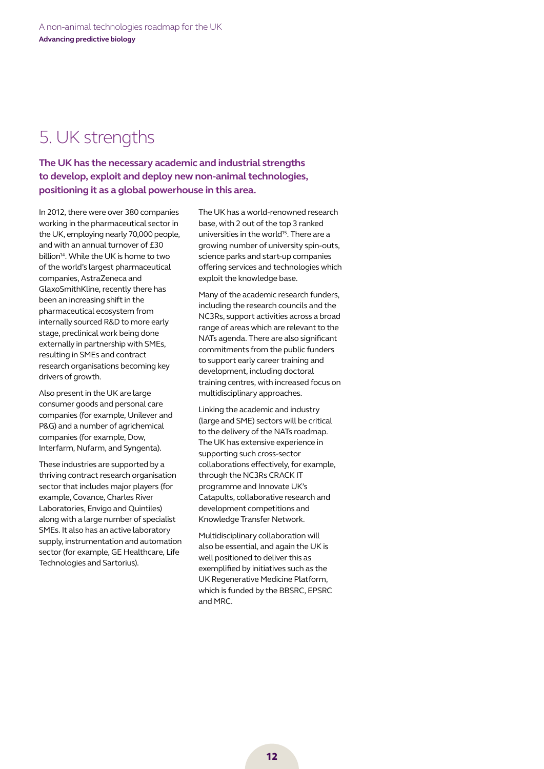# 5. UK strengths

**The UK has the necessary academic and industrial strengths to develop, exploit and deploy new non-animal technologies, positioning it as a global powerhouse in this area.** 

In 2012, there were over 380 companies working in the pharmaceutical sector in the UK, employing nearly 70,000 people, and with an annual turnover of £30 billion<sup>14</sup>. While the UK is home to two of the world's largest pharmaceutical companies, AstraZeneca and GlaxoSmithKline, recently there has been an increasing shift in the pharmaceutical ecosystem from internally sourced R&D to more early stage, preclinical work being done externally in partnership with SMEs, resulting in SMEs and contract research organisations becoming key drivers of growth.

Also present in the UK are large consumer goods and personal care companies (for example, Unilever and P&G) and a number of agrichemical companies (for example, Dow, Interfarm, Nufarm, and Syngenta).

These industries are supported by a thriving contract research organisation sector that includes major players (for example, Covance, Charles River Laboratories, Envigo and Quintiles) along with a large number of specialist SMEs. It also has an active laboratory supply, instrumentation and automation sector (for example, GE Healthcare, Life Technologies and Sartorius).

The UK has a world-renowned research base, with 2 out of the top 3 ranked universities in the world<sup>15</sup>. There are a growing number of university spin-outs, science parks and start-up companies offering services and technologies which exploit the knowledge base.

Many of the academic research funders, including the research councils and the NC3Rs, support activities across a broad range of areas which are relevant to the NATs agenda. There are also significant commitments from the public funders to support early career training and development, including doctoral training centres, with increased focus on multidisciplinary approaches.

Linking the academic and industry (large and SME) sectors will be critical to the delivery of the NATs roadmap. The UK has extensive experience in supporting such cross-sector collaborations effectively, for example, through the NC3Rs CRACK IT programme and Innovate UK's Catapults, collaborative research and development competitions and Knowledge Transfer Network.

Multidisciplinary collaboration will also be essential, and again the UK is well positioned to deliver this as exemplified by initiatives such as the UK Regenerative Medicine Platform, which is funded by the BBSRC, EPSRC and MRC.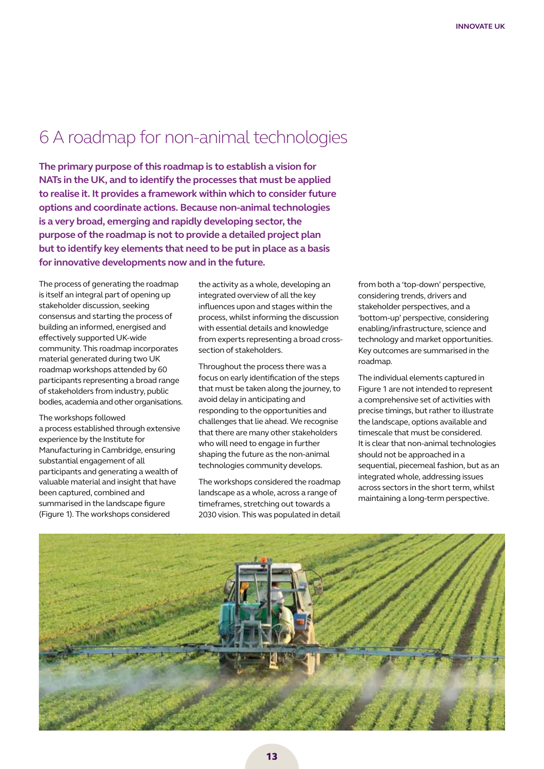# 6 A roadmap for non-animal technologies

**The primary purpose of this roadmap is to establish a vision for NATs in the UK, and to identify the processes that must be applied to realise it. It provides a framework within which to consider future options and coordinate actions. Because non-animal technologies is a very broad, emerging and rapidly developing sector, the purpose of the roadmap is not to provide a detailed project plan but to identify key elements that need to be put in place as a basis for innovative developments now and in the future.**

The process of generating the roadmap is itself an integral part of opening up stakeholder discussion, seeking consensus and starting the process of building an informed, energised and effectively supported UK-wide community. This roadmap incorporates material generated during two UK roadmap workshops attended by 60 participants representing a broad range of stakeholders from industry, public bodies, academia and other organisations.

The workshops followed a process established through extensive experience by the Institute for Manufacturing in Cambridge, ensuring substantial engagement of all participants and generating a wealth of valuable material and insight that have been captured, combined and summarised in the landscape figure (Figure 1). The workshops considered

the activity as a whole, developing an integrated overview of all the key influences upon and stages within the process, whilst informing the discussion with essential details and knowledge from experts representing a broad crosssection of stakeholders.

Throughout the process there was a focus on early identification of the steps that must be taken along the journey, to avoid delay in anticipating and responding to the opportunities and challenges that lie ahead. We recognise that there are many other stakeholders who will need to engage in further shaping the future as the non-animal technologies community develops.

The workshops considered the roadmap landscape as a whole, across a range of timeframes, stretching out towards a 2030 vision. This was populated in detail from both a 'top-down' perspective, considering trends, drivers and stakeholder perspectives, and a 'bottom-up' perspective, considering enabling/infrastructure, science and technology and market opportunities. Key outcomes are summarised in the roadmap.

The individual elements captured in Figure 1 are not intended to represent a comprehensive set of activities with precise timings, but rather to illustrate the landscape, options available and timescale that must be considered. It is clear that non-animal technologies should not be approached in a sequential, piecemeal fashion, but as an integrated whole, addressing issues across sectors in the short term, whilst maintaining a long-term perspective.

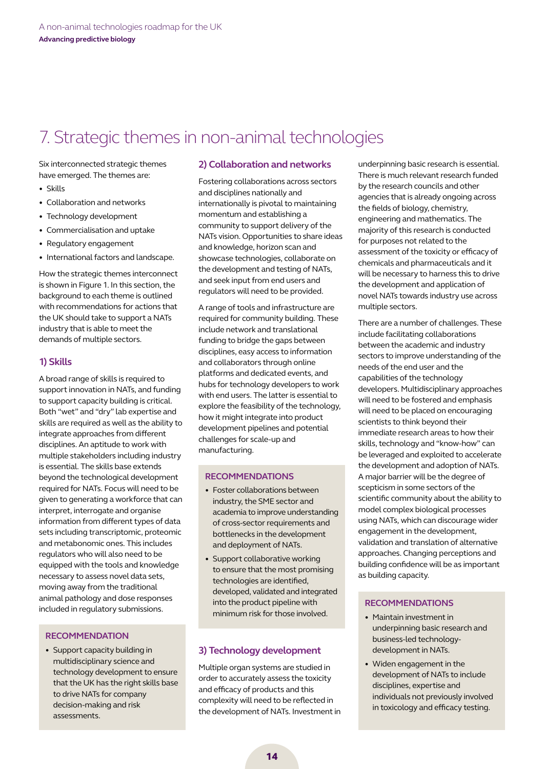# 7. Strategic themes in non-animal technologies

Six interconnected strategic themes have emerged. The themes are:

- • Skills
- Collaboration and networks
- Technology development
- • Commercialisation and uptake
- Regulatory engagement
- International factors and landscape.

How the strategic themes interconnect is shown in Figure 1. In this section, the background to each theme is outlined with recommendations for actions that the UK should take to support a NATs industry that is able to meet the demands of multiple sectors.

### **1) Skills**

A broad range of skills is required to support innovation in NATs, and funding to support capacity building is critical. Both "wet" and "dry" lab expertise and skills are required as well as the ability to integrate approaches from different disciplines. An aptitude to work with multiple stakeholders including industry is essential. The skills base extends beyond the technological development required for NATs. Focus will need to be given to generating a workforce that can interpret, interrogate and organise information from different types of data sets including transcriptomic, proteomic and metabonomic ones. This includes regulators who will also need to be equipped with the tools and knowledge necessary to assess novel data sets, moving away from the traditional animal pathology and dose responses included in regulatory submissions.

### **Recommendation**

• Support capacity building in multidisciplinary science and technology development to ensure that the UK has the right skills base to drive NATs for company decision-making and risk assessments.

### **2) Collaboration and networks**

Fostering collaborations across sectors and disciplines nationally and internationally is pivotal to maintaining momentum and establishing a community to support delivery of the NATs vision. Opportunities to share ideas and knowledge, horizon scan and showcase technologies, collaborate on the development and testing of NATs, and seek input from end users and regulators will need to be provided.

A range of tools and infrastructure are required for community building. These include network and translational funding to bridge the gaps between disciplines, easy access to information and collaborators through online platforms and dedicated events, and hubs for technology developers to work with end users. The latter is essential to explore the feasibility of the technology, how it might integrate into product development pipelines and potential challenges for scale-up and manufacturing.

### **Recommendations**

- Foster collaborations between industry, the SME sector and academia to improve understanding of cross-sector requirements and bottlenecks in the development and deployment of NATs.
- Support collaborative working to ensure that the most promising technologies are identified, developed, validated and integrated into the product pipeline with minimum risk for those involved.

### **3) Technology development**

Multiple organ systems are studied in order to accurately assess the toxicity and efficacy of products and this complexity will need to be reflected in the development of NATs. Investment in underpinning basic research is essential. There is much relevant research funded by the research councils and other agencies that is already ongoing across the fields of biology, chemistry, engineering and mathematics. The majority of this research is conducted for purposes not related to the assessment of the toxicity or efficacy of chemicals and pharmaceuticals and it will be necessary to harness this to drive the development and application of novel NATs towards industry use across multiple sectors.

There are a number of challenges. These include facilitating collaborations between the academic and industry sectors to improve understanding of the needs of the end user and the capabilities of the technology developers. Multidisciplinary approaches will need to be fostered and emphasis will need to be placed on encouraging scientists to think beyond their immediate research areas to how their skills, technology and "know-how" can be leveraged and exploited to accelerate the development and adoption of NATs. A major barrier will be the degree of scepticism in some sectors of the scientific community about the ability to model complex biological processes using NATs, which can discourage wider engagement in the development, validation and translation of alternative approaches. Changing perceptions and building confidence will be as important as building capacity.

### **Recommendations**

- • Maintain investment in underpinning basic research and business-led technologydevelopment in NATs.
- • Widen engagement in the development of NATs to include disciplines, expertise and individuals not previously involved in toxicology and efficacy testing.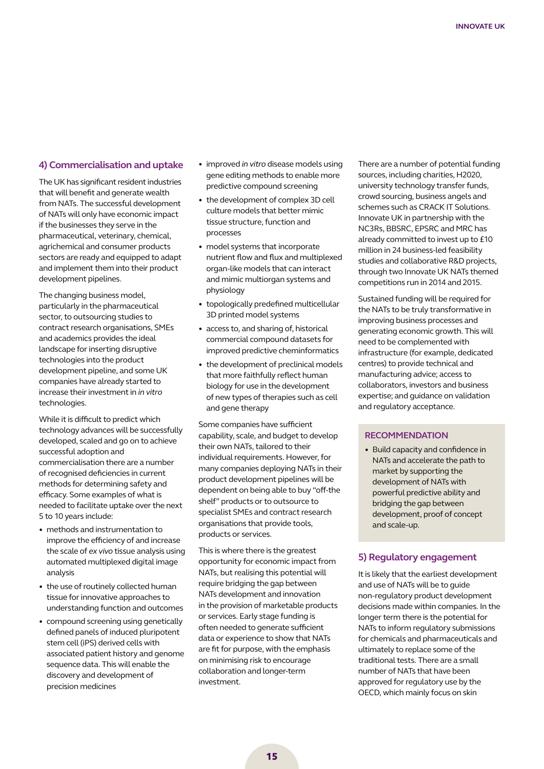### **4) Commercialisation and uptake**

The UK has significant resident industries that will benefit and generate wealth from NATs. The successful development of NATs will only have economic impact if the businesses they serve in the pharmaceutical, veterinary, chemical, agrichemical and consumer products sectors are ready and equipped to adapt and implement them into their product development pipelines.

The changing business model, particularly in the pharmaceutical sector, to outsourcing studies to contract research organisations, SMEs and academics provides the ideal landscape for inserting disruptive technologies into the product development pipeline, and some UK companies have already started to increase their investment in *in vitro* technologies.

While it is difficult to predict which technology advances will be successfully developed, scaled and go on to achieve successful adoption and commercialisation there are a number of recognised deficiencies in current methods for determining safety and efficacy. Some examples of what is needed to facilitate uptake over the next 5 to 10 years include:

- methods and instrumentation to improve the efficiency of and increase the scale of *ex vivo* tissue analysis using automated multiplexed digital image analysis
- the use of routinely collected human tissue for innovative approaches to understanding function and outcomes
- compound screening using genetically defined panels of induced pluripotent stem cell (iPS) derived cells with associated patient history and genome sequence data. This will enable the discovery and development of precision medicines
- • improved *in vitro* disease models using gene editing methods to enable more predictive compound screening
- the development of complex 3D cell culture models that better mimic tissue structure, function and processes
- model systems that incorporate nutrient flow and flux and multiplexed organ-like models that can interact and mimic multiorgan systems and physiology
- topologically predefined multicellular 3D printed model systems
- access to, and sharing of, historical commercial compound datasets for improved predictive cheminformatics
- the development of preclinical models that more faithfully reflect human biology for use in the development of new types of therapies such as cell and gene therapy

Some companies have sufficient capability, scale, and budget to develop their own NATs, tailored to their individual requirements. However, for many companies deploying NATs in their product development pipelines will be dependent on being able to buy "off-the shelf" products or to outsource to specialist SMEs and contract research organisations that provide tools, products or services.

This is where there is the greatest opportunity for economic impact from NATs, but realising this potential will require bridging the gap between NATs development and innovation in the provision of marketable products or services. Early stage funding is often needed to generate sufficient data or experience to show that NATs are fit for purpose, with the emphasis on minimising risk to encourage collaboration and longer-term investment.

There are a number of potential funding sources, including charities, H2020, university technology transfer funds, crowd sourcing, business angels and schemes such as CRACK IT Solutions. Innovate UK in partnership with the NC3Rs, BBSRC, EPSRC and MRC has already committed to invest up to £10 million in 24 business-led feasibility studies and collaborative R&D projects, through two Innovate UK NATs themed competitions run in 2014 and 2015.

Sustained funding will be required for the NATs to be truly transformative in improving business processes and generating economic growth. This will need to be complemented with infrastructure (for example, dedicated centres) to provide technical and manufacturing advice; access to collaborators, investors and business expertise; and guidance on validation and regulatory acceptance.

### **Recommendation**

• Build capacity and confidence in NATs and accelerate the path to market by supporting the development of NATs with powerful predictive ability and bridging the gap between development, proof of concept and scale-up.

### **5) Regulatory engagement**

It is likely that the earliest development and use of NATs will be to guide non-regulatory product development decisions made within companies. In the longer term there is the potential for NATs to inform regulatory submissions for chemicals and pharmaceuticals and ultimately to replace some of the traditional tests. There are a small number of NATs that have been approved for regulatory use by the OECD, which mainly focus on skin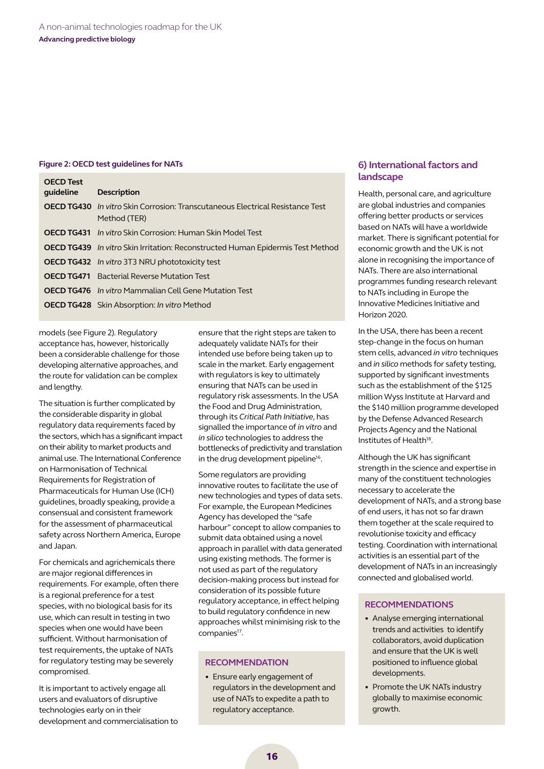#### **Figure 2: OECD test guidelines for NATs**

| <b>OECD Test</b><br>quideline | <b>Description</b>                                                                                   |
|-------------------------------|------------------------------------------------------------------------------------------------------|
|                               | <b>OECD TG430</b> In vitro Skin Corrosion: Transcutaneous Electrical Resistance Test<br>Method (TER) |
|                               | <b>OECD TG431</b> In vitro Skin Corrosion: Human Skin Model Test                                     |
|                               | <b>OECD TG439</b> In vitro Skin Irritation: Reconstructed Human Epidermis Test Method                |
|                               | <b>OECD TG432</b> In vitro 3T3 NRU phototoxicity test                                                |
|                               | <b>OECD TG471</b> Bacterial Reverse Mutation Test                                                    |
|                               | <b>OECD TG476</b> In vitro Mammalian Cell Gene Mutation Test                                         |
|                               | <b>OECD TG428</b> Skin Absorption: In vitro Method                                                   |

models (see Figure 2). Regulatory acceptance has, however, historically been a considerable challenge for those developing alternative approaches, and the route for validation can be complex and lengthy.

The situation is further complicated by the considerable disparity in global regulatory data requirements faced by the sectors, which has a significant impact on their ability to market products and animal use. The International Conference on Harmonisation of Technical Requirements for Registration of Pharmaceuticals for Human Use (ICH) guidelines, broadly speaking, provide a consensual and consistent framework for the assessment of pharmaceutical safety across Northern America, Europe and Japan.

For chemicals and agrichemicals there are major regional differences in requirements. For example, often there is a regional preference for a test species, with no biological basis for its use, which can result in testing in two species when one would have been sufficient. Without harmonisation of test requirements, the uptake of NATs for regulatory testing may be severely compromised.

It is important to actively engage all users and evaluators of disruptive technologies early on in their development and commercialisation to ensure that the right steps are taken to adequately validate NATs for their intended use before being taken up to scale in the market. Early engagement with regulators is key to ultimately ensuring that NATs can be used in regulatory risk assessments. In the USA the Food and Drug Administration, through its *Critical Path Initiative*, has signalled the importance of *in vitro* and *in silico* technologies to address the bottlenecks of predictivity and translation in the drug development pipeline<sup>16</sup>.

Some regulators are providing innovative routes to facilitate the use of new technologies and types of data sets. For example, the European Medicines Agency has developed the "safe harbour" concept to allow companies to submit data obtained using a novel approach in parallel with data generated using existing methods. The former is not used as part of the regulatory decision-making process but instead for consideration of its possible future regulatory acceptance, in effect helping to build regulatory confidence in new approaches whilst minimising risk to the companies<sup>17</sup>.

#### **Recommendation**

• Ensure early engagement of regulators in the development and use of NATs to expedite a path to regulatory acceptance.

### **6) International factors and landscape**

Health, personal care, and agriculture are global industries and companies offering better products or services based on NATs will have a worldwide market. There is significant potential for economic growth and the UK is not alone in recognising the importance of NATs. There are also international programmes funding research relevant to NATs including in Europe the Innovative Medicines Initiative and Horizon 2020.

In the USA, there has been a recent step-change in the focus on human stem cells, advanced *in vitro* techniques and *in silico* methods for safety testing, supported by significant investments such as the establishment of the \$125 million Wyss Institute at Harvard and the \$140 million programme developed by the Defense Advanced Research Projects Agency and the National Institutes of Health<sup>18</sup>.

Although the UK has significant strength in the science and expertise in many of the constituent technologies necessary to accelerate the development of NATs, and a strong base of end users, it has not so far drawn them together at the scale required to revolutionise toxicity and efficacy testing. Coordination with international activities is an essential part of the development of NATs in an increasingly connected and globalised world.

### **Recommendations**

- Analyse emerging international trends and activities to identify collaborators, avoid duplication and ensure that the UK is well positioned to influence global developments.
- Promote the UK NATs industry globally to maximise economic growth.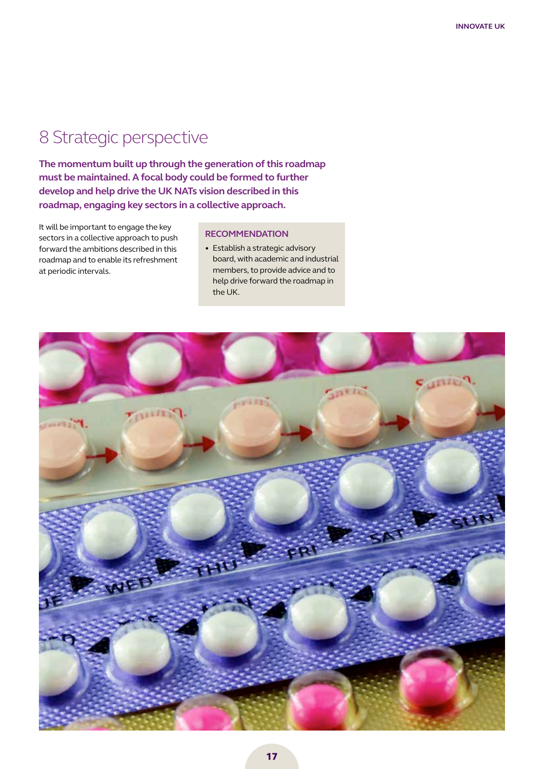# 8 Strategic perspective

**The momentum built up through the generation of this roadmap must be maintained. A focal body could be formed to further develop and help drive the UK NATs vision described in this roadmap, engaging key sectors in a collective approach.** 

It will be important to engage the key sectors in a collective approach to push forward the ambitions described in this roadmap and to enable its refreshment at periodic intervals.

### **Recommendation**

• Establish a strategic advisory board, with academic and industrial members, to provide advice and to help drive forward the roadmap in the UK.

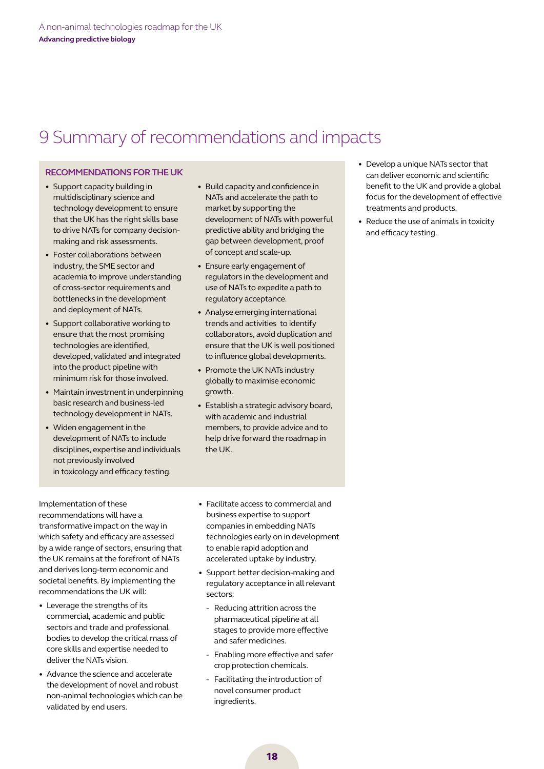# 9 Summary of recommendations and impacts

### **Recommendations forthe UK**

- Support capacity building in multidisciplinary science and technology development to ensure that the UK has the right skills base to drive NATs for company decisionmaking and risk assessments.
- Foster collaborations between industry, the SME sector and academia to improve understanding of cross-sector requirements and bottlenecks in the development and deployment of NATs.
- Support collaborative working to ensure that the most promising technologies are identified, developed, validated and integrated into the product pipeline with minimum risk for those involved.
- Maintain investment in underpinning basic research and business-led technology development in NATs.
- Widen engagement in the development of NATs to include disciplines, expertise and individuals not previously involved in toxicology and efficacy testing.
- Build capacity and confidence in NATs and accelerate the path to market by supporting the development of NATs with powerful predictive ability and bridging the gap between development, proof of concept and scale-up.
- Ensure early engagement of regulators in the development and use of NATs to expedite a path to regulatory acceptance.
- Analyse emerging international trends and activities to identify collaborators, avoid duplication and ensure that the UK is well positioned to influence global developments.
- Promote the UK NATs industry globally to maximise economic growth.
- Establish a strategic advisory board, with academic and industrial members, to provide advice and to help drive forward the roadmap in the UK.
- Develop a unique NATs sector that can deliver economic and scientific benefit to the UK and provide a global focus for the development of effective treatments and products.
- Reduce the use of animals in toxicity and efficacy testing.

Implementation of these recommendations will have a transformative impact on the way in which safety and efficacy are assessed by a wide range of sectors, ensuring that the UK remains at the forefront of NATs and derives long-term economic and societal benefits. By implementing the recommendations the UK will:

- Leverage the strengths of its commercial, academic and public sectors and trade and professional bodies to develop the critical mass of core skills and expertise needed to deliver the NATs vision.
- Advance the science and accelerate the development of novel and robust non-animal technologies which can be validated by end users.
- • Facilitate access to commercial and business expertise to support companies in embedding NATs technologies early on in development to enable rapid adoption and accelerated uptake by industry.
- Support better decision-making and regulatory acceptance in all relevant sectors:
	- Reducing attrition across the pharmaceutical pipeline at all stages to provide more effective and safer medicines.
	- Enabling more effective and safer crop protection chemicals.
	- Facilitating the introduction of novel consumer product ingredients.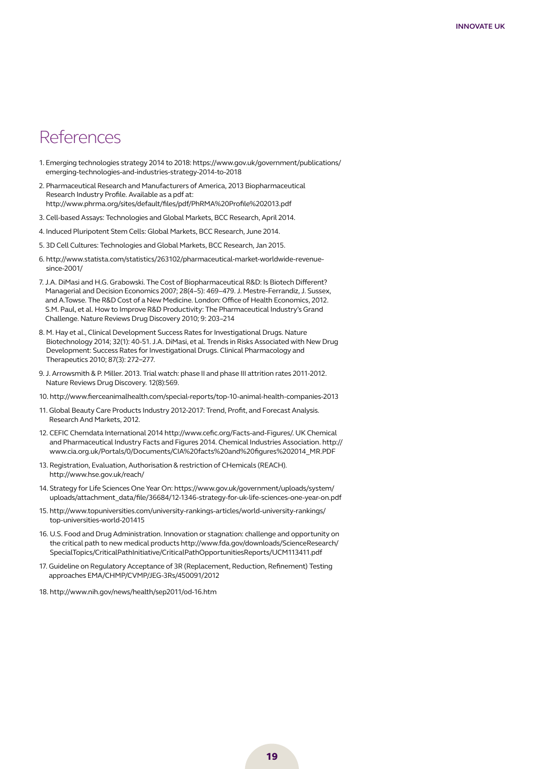### **References**

- 1. Emerging technologies strategy 2014 to 2018: [https://www.gov.uk/government/publications/](https://www.gov.uk/government/publications/emerging-technologies-and-industries-strategy-2014-to-2018) [emerging-technologies-and-industries-strategy-2014-to-2018](https://www.gov.uk/government/publications/emerging-technologies-and-industries-strategy-2014-to-2018)
- 2. Pharmaceutical Research and Manufacturers of America, 2013 Biopharmaceutical Research Industry Profile. Available as a pdf at: http://www.phrma.org/sites/default/files/pdf/PhRMA%20Profile%202013.pdf
- 3. Cell-based Assays: Technologies and Global Markets, BCC Research, April 2014.
- 4. Induced Pluripotent Stem Cells: Global Markets, BCC Research, June 2014.
- 5. 3D Cell Cultures: Technologies and Global Markets, BCC Research, Jan 2015.
- 6. http://www.statista.com/statistics/263102/pharmaceutical-market-worldwide-revenuesince-2001/
- 7. J.A. DiMasi and H.G. Grabowski. The Cost of Biopharmaceutical R&D: Is Biotech Different? Managerial and Decision Economics 2007; 28(4–5): 469–479. J. Mestre-Ferrandiz, J. Sussex, and A.Towse. The R&D Cost of a New Medicine. London: Office of Health Economics, 2012. S.M. Paul, et al. How to Improve R&D Productivity: The Pharmaceutical Industry's Grand Challenge. Nature Reviews Drug Discovery 2010; 9: 203–214
- 8. M. Hay et al., Clinical Development Success Rates for Investigational Drugs. Nature Biotechnology 2014; 32(1): 40-51. J.A. DiMasi, et al. Trends in Risks Associated with New Drug Development: Success Rates for Investigational Drugs. Clinical Pharmacology and Therapeutics 2010; 87(3): 272−277.
- 9. J. Arrowsmith & P. Miller. 2013. Trial watch: phase II and phase III attrition rates 2011-2012. Nature Reviews Drug Discovery. 12(8):569.
- 10. http://www.fierceanimalhealth.com/special-reports/top-10-animal-health-companies-2013
- 11. Global Beauty Care Products Industry 2012-2017: Trend, Profit, and Forecast Analysis. Research And Markets, 2012.
- 12. CEFIC Chemdata International 2014 http://www.cefic.org/Facts-and-Figures/. UK Chemical and Pharmaceutical Industry Facts and Figures 2014. Chemical Industries Association. http:// www.cia.org.uk/Portals/0/Documents/CIA%20facts%20and%20figures%202014\_MR.PDF
- 13. Registration, Evaluation, Authorisation & restriction of CHemicals (REACH). <http://www.hse.gov.uk/reach/>
- 14. Strategy for Life Sciences One Year On: [https://www.gov.uk/government/uploads/system/](https://www.gov.uk/government/uploads/system/uploads/attachment_data/file/36684/12-1346-strategy-for-uk-life-sciences-one-year-on.pdf) [uploads/attachment\\_data/file/36684/12-1346-strategy-for-uk-life-sciences-one-year-on.pdf](https://www.gov.uk/government/uploads/system/uploads/attachment_data/file/36684/12-1346-strategy-for-uk-life-sciences-one-year-on.pdf)
- 15. [http://www.topuniversities.com/university-rankings-articles/world-university-rankings/](http://www.topuniversities.com/university-rankings-articles/world-university-rankings/top-universities-world-201415) [top-universities-world-201415](http://www.topuniversities.com/university-rankings-articles/world-university-rankings/top-universities-world-201415)
- 16. U.S. Food and Drug Administration. Innovation or stagnation: challenge and opportunity on the critical path to new medical products [http://www.fda.gov/downloads/ScienceResearch/](http://www.fda.gov/downloads/ScienceResearch/SpecialTopics/CriticalPathInitiative/CriticalPathOpportunitiesReports/UCM113411.pdf) [SpecialTopics/CriticalPathInitiative/CriticalPathOpportunitiesReports/UCM113411.pdf](http://www.fda.gov/downloads/ScienceResearch/SpecialTopics/CriticalPathInitiative/CriticalPathOpportunitiesReports/UCM113411.pdf)
- 17. Guideline on Regulatory Acceptance of 3R (Replacement, Reduction, Refinement) Testing approaches EMA/CHMP/CVMP/JEG-3Rs/450091/2012
- 18. http://www.nih.gov/news/health/sep2011/od-16.htm